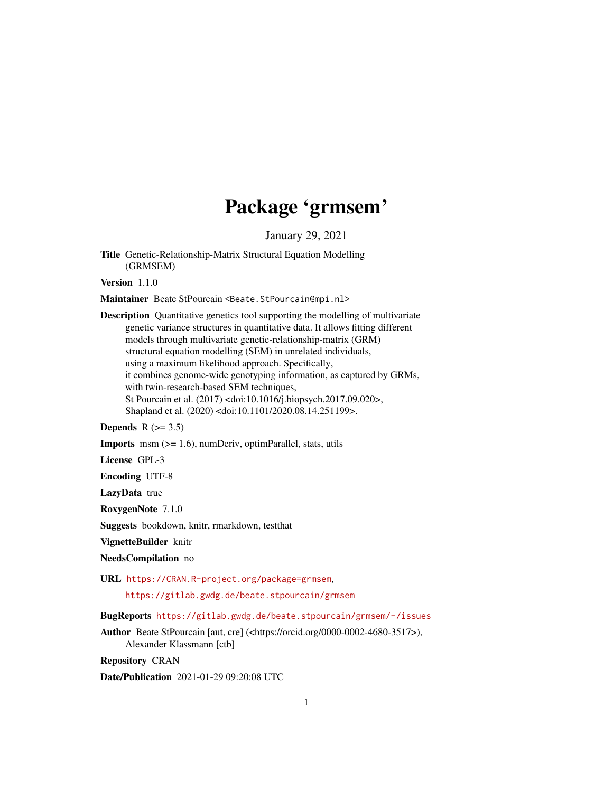## Package 'grmsem'

January 29, 2021

<span id="page-0-0"></span>Title Genetic-Relationship-Matrix Structural Equation Modelling (GRMSEM)

Version 1.1.0

Maintainer Beate StPourcain <Beate.StPourcain@mpi.nl>

Description Quantitative genetics tool supporting the modelling of multivariate genetic variance structures in quantitative data. It allows fitting different models through multivariate genetic-relationship-matrix (GRM) structural equation modelling (SEM) in unrelated individuals, using a maximum likelihood approach. Specifically, it combines genome-wide genotyping information, as captured by GRMs, with twin-research-based SEM techniques, St Pourcain et al. (2017) <doi:10.1016/j.biopsych.2017.09.020>, Shapland et al. (2020) <doi:10.1101/2020.08.14.251199>.

Depends  $R$  ( $> = 3.5$ )

Imports msm (>= 1.6), numDeriv, optimParallel, stats, utils

License GPL-3

Encoding UTF-8

LazyData true

RoxygenNote 7.1.0

Suggests bookdown, knitr, rmarkdown, testthat

VignetteBuilder knitr

NeedsCompilation no

URL <https://CRAN.R-project.org/package=grmsem>,

<https://gitlab.gwdg.de/beate.stpourcain/grmsem>

BugReports <https://gitlab.gwdg.de/beate.stpourcain/grmsem/-/issues>

Author Beate StPourcain [aut, cre] (<https://orcid.org/0000-0002-4680-3517>), Alexander Klassmann [ctb]

Repository CRAN

Date/Publication 2021-01-29 09:20:08 UTC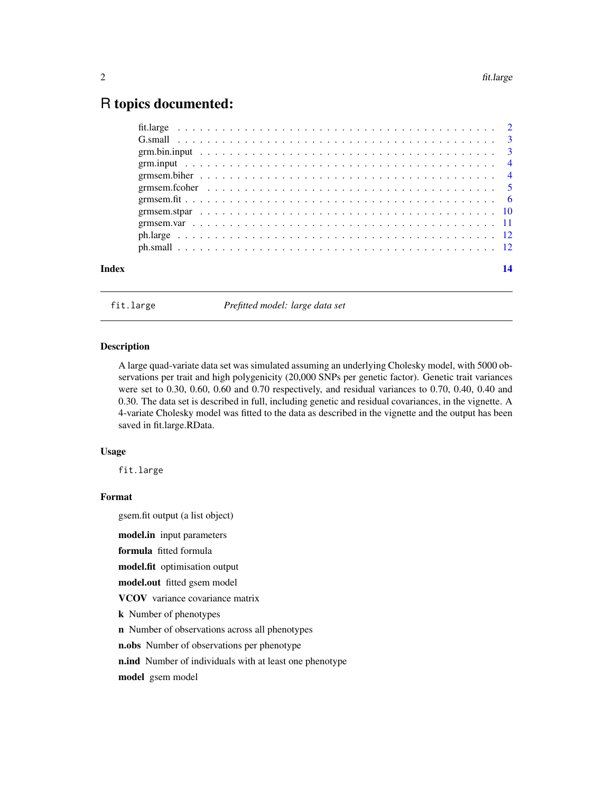## <span id="page-1-0"></span>R topics documented:

| Index | 14 |
|-------|----|
|       |    |
|       |    |
|       |    |
|       |    |
|       |    |
|       |    |
|       |    |
|       |    |
|       |    |
|       |    |
|       |    |

fit.large *Prefitted model: large data set*

## Description

A large quad-variate data set was simulated assuming an underlying Cholesky model, with 5000 observations per trait and high polygenicity (20,000 SNPs per genetic factor). Genetic trait variances were set to 0.30, 0.60, 0.60 and 0.70 respectively, and residual variances to 0.70, 0.40, 0.40 and 0.30. The data set is described in full, including genetic and residual covariances, in the vignette. A 4-variate Cholesky model was fitted to the data as described in the vignette and the output has been saved in fit.large.RData.

## Usage

fit.large

## Format

gsem.fit output (a list object)

model.in input parameters

formula fitted formula

model.fit optimisation output

model.out fitted gsem model

VCOV variance covariance matrix

k Number of phenotypes

n Number of observations across all phenotypes

n.obs Number of observations per phenotype

n.ind Number of individuals with at least one phenotype

model gsem model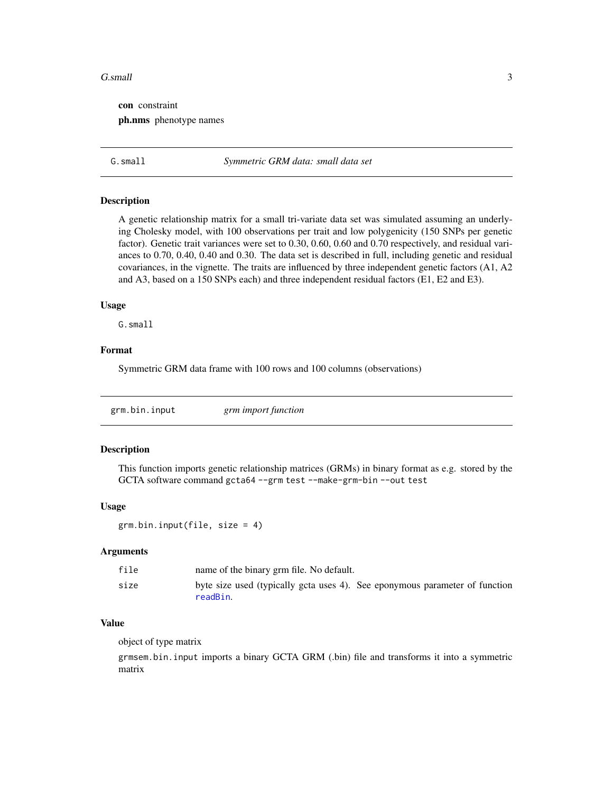#### <span id="page-2-0"></span>G.small 3

con constraint ph.nms phenotype names

G.small *Symmetric GRM data: small data set*

#### Description

A genetic relationship matrix for a small tri-variate data set was simulated assuming an underlying Cholesky model, with 100 observations per trait and low polygenicity (150 SNPs per genetic factor). Genetic trait variances were set to 0.30, 0.60, 0.60 and 0.70 respectively, and residual variances to 0.70, 0.40, 0.40 and 0.30. The data set is described in full, including genetic and residual covariances, in the vignette. The traits are influenced by three independent genetic factors (A1, A2 and A3, based on a 150 SNPs each) and three independent residual factors (E1, E2 and E3).

#### Usage

G.small

## Format

Symmetric GRM data frame with 100 rows and 100 columns (observations)

| grm.bin.input | grm import function |  |
|---------------|---------------------|--|
|               |                     |  |

## Description

This function imports genetic relationship matrices (GRMs) in binary format as e.g. stored by the GCTA software command gcta64 --grm test --make-grm-bin --out test

#### Usage

grm.bin.input(file, size = 4)

#### Arguments

| file | name of the binary grm file. No default.                                                |
|------|-----------------------------------------------------------------------------------------|
| size | byte size used (typically gcta uses 4). See eponymous parameter of function<br>readBin. |

#### Value

object of type matrix

grmsem.bin.input imports a binary GCTA GRM (.bin) file and transforms it into a symmetric matrix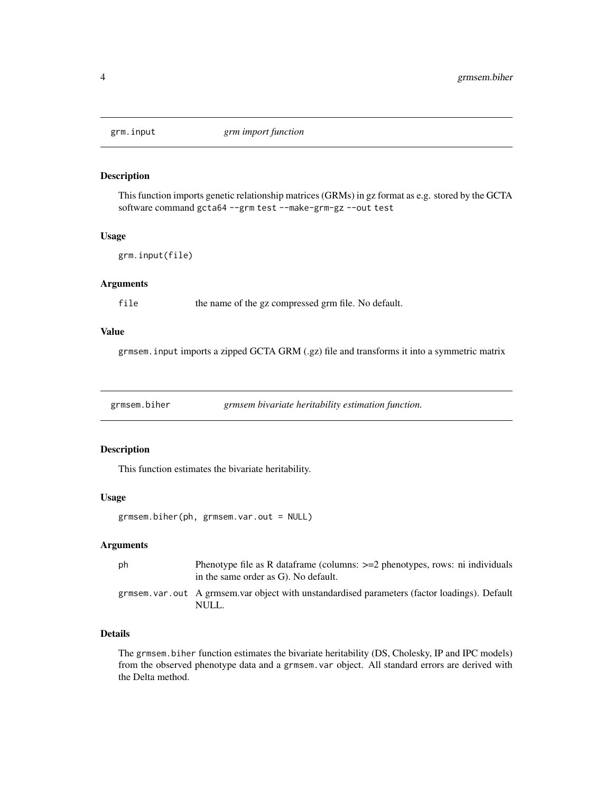<span id="page-3-0"></span>

## Description

This function imports genetic relationship matrices (GRMs) in gz format as e.g. stored by the GCTA software command gcta64 --grm test --make-grm-gz --out test

## Usage

```
grm.input(file)
```
## Arguments

file the name of the gz compressed grm file. No default.

## Value

grmsem.input imports a zipped GCTA GRM (.gz) file and transforms it into a symmetric matrix

grmsem.biher *grmsem bivariate heritability estimation function.*

## Description

This function estimates the bivariate heritability.

## Usage

grmsem.biher(ph, grmsem.var.out = NULL)

## Arguments

| - ph | Phenotype file as R data frame (columns: $>=2$ phenotypes, rows: ni individuals<br>in the same order as G). No default. |
|------|-------------------------------------------------------------------------------------------------------------------------|
|      | grmsem, var. out A grmsem, var object with unstandardised parameters (factor loadings). Default<br>NULL.                |

## Details

The grmsem.biher function estimates the bivariate heritability (DS, Cholesky, IP and IPC models) from the observed phenotype data and a grmsem.var object. All standard errors are derived with the Delta method.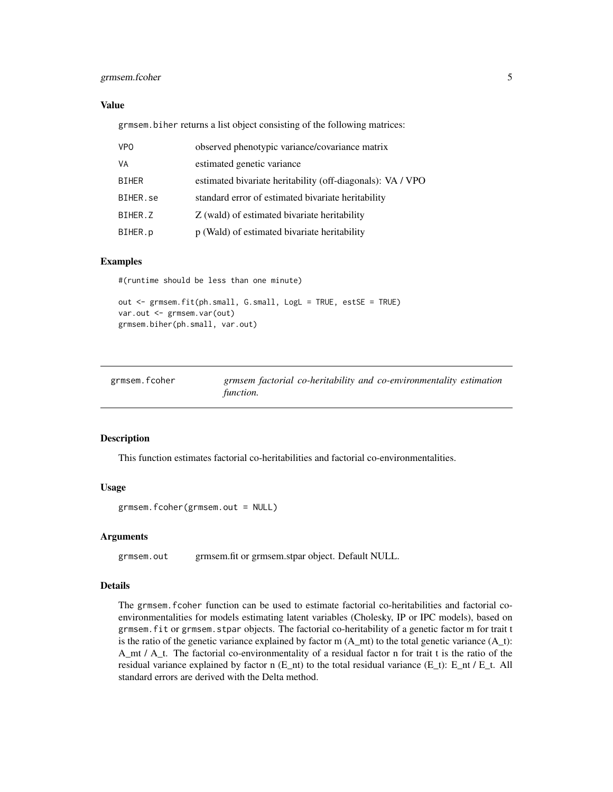## <span id="page-4-0"></span>grmsem.fcoher 5

### Value

grmsem.biher returns a list object consisting of the following matrices:

| <b>VPO</b>   | observed phenotypic variance/covariance matrix             |
|--------------|------------------------------------------------------------|
| VA           | estimated genetic variance                                 |
| <b>BIHER</b> | estimated bivariate heritability (off-diagonals): VA / VPO |
| BIHER.se     | standard error of estimated bivariate heritability         |
| BIHER.Z      | Z (wald) of estimated bivariate heritability               |
| BIHER.p      | p (Wald) of estimated bivariate heritability               |

#### Examples

#(runtime should be less than one minute)

out <- grmsem.fit(ph.small, G.small, LogL = TRUE, estSE = TRUE) var.out <- grmsem.var(out) grmsem.biher(ph.small, var.out)

| grmsem.fcoher |           |  | grmsem factorial co-heritability and co-environmentality estimation |  |
|---------------|-----------|--|---------------------------------------------------------------------|--|
|               | function. |  |                                                                     |  |

#### Description

This function estimates factorial co-heritabilities and factorial co-environmentalities.

#### Usage

```
grmsem.fcoher(grmsem.out = NULL)
```
#### Arguments

grmsem.out grmsem.fit or grmsem.stpar object. Default NULL.

#### Details

The grmsem.fcoher function can be used to estimate factorial co-heritabilities and factorial coenvironmentalities for models estimating latent variables (Cholesky, IP or IPC models), based on grmsem.fit or grmsem.stpar objects. The factorial co-heritability of a genetic factor m for trait t is the ratio of the genetic variance explained by factor m  $(A_m$ th) to the total genetic variance  $(A_t)$ : A\_mt / A\_t. The factorial co-environmentality of a residual factor n for trait t is the ratio of the residual variance explained by factor n  $(E_nt)$  to the total residual variance  $(E_t)$ :  $E_nt / E_t$ . All standard errors are derived with the Delta method.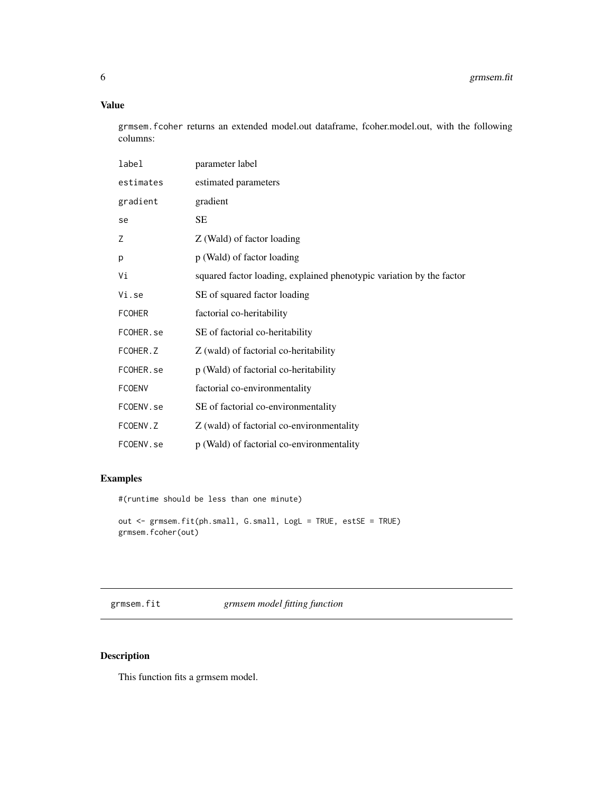## <span id="page-5-0"></span>Value

grmsem.fcoher returns an extended model.out dataframe, fcoher.model.out, with the following columns:

| label         | parameter label                                                      |
|---------------|----------------------------------------------------------------------|
| estimates     | estimated parameters                                                 |
| gradient      | gradient                                                             |
| se            | SE                                                                   |
| Ζ             | Z (Wald) of factor loading                                           |
| p             | p (Wald) of factor loading                                           |
| Vi            | squared factor loading, explained phenotypic variation by the factor |
| Vi.se         | SE of squared factor loading                                         |
| <b>FCOHER</b> | factorial co-heritability                                            |
| FCOHER.se     | SE of factorial co-heritability                                      |
| FCOHER.Z      | Z (wald) of factorial co-heritability                                |
| FCOHER.se     | p (Wald) of factorial co-heritability                                |
| <b>FCOENV</b> | factorial co-environmentality                                        |
| FCOENV.se     | SE of factorial co-environmentality                                  |
| FCOENV.Z      | Z (wald) of factorial co-environmentality                            |
| FCOENV.se     | p (Wald) of factorial co-environmentality                            |

## Examples

#(runtime should be less than one minute)

```
out <- grmsem.fit(ph.small, G.small, LogL = TRUE, estSE = TRUE)
grmsem.fcoher(out)
```
grmsem.fit *grmsem model fitting function*

## Description

This function fits a grmsem model.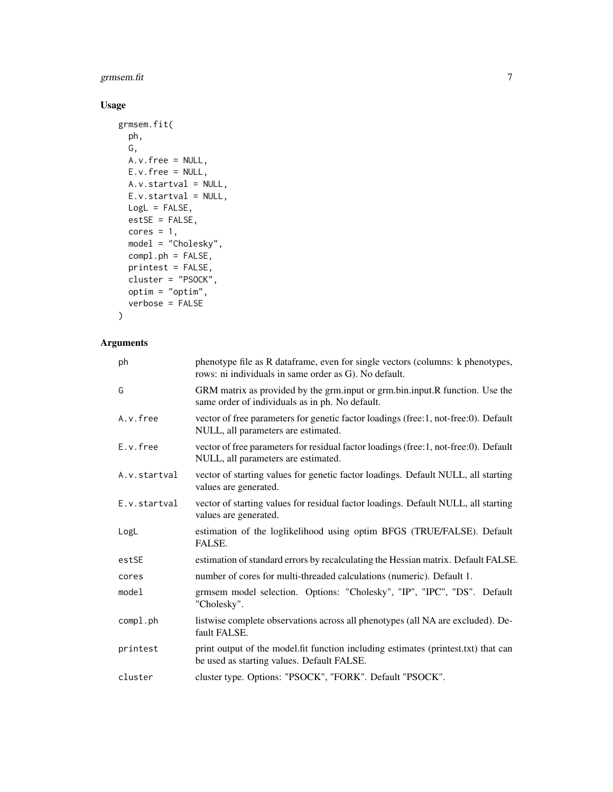## grmsem.fit 7

## Usage

```
grmsem.fit(
  ph,
  G,
  A.v.free = NULL,
  E.v.free = NULL,
  A.v.startval = NULL,
  E.v.startval = NULL,
  LogL = FALSE,
  estSE = FALSE,
  cores = 1,model = "Cholesky",
  compl.ph = FALSE,
  printest = FALSE,
  cluster = "PSOCK",
  optim = "optim",
  verbose = FALSE
\mathcal{L}
```
## Arguments

| ph           | phenotype file as R dataframe, even for single vectors (columns: k phenotypes,<br>rows: ni individuals in same order as G). No default. |
|--------------|-----------------------------------------------------------------------------------------------------------------------------------------|
| G            | GRM matrix as provided by the grm.input or grm.bin.input.R function. Use the<br>same order of individuals as in ph. No default.         |
| A.v.free     | vector of free parameters for genetic factor loadings (free:1, not-free:0). Default<br>NULL, all parameters are estimated.              |
| E.v.free     | vector of free parameters for residual factor loadings (free:1, not-free:0). Default<br>NULL, all parameters are estimated.             |
| A.v.startval | vector of starting values for genetic factor loadings. Default NULL, all starting<br>values are generated.                              |
| E.v.startval | vector of starting values for residual factor loadings. Default NULL, all starting<br>values are generated.                             |
| LogL         | estimation of the loglikelihood using optim BFGS (TRUE/FALSE). Default<br>FALSE.                                                        |
| estSE        | estimation of standard errors by recalculating the Hessian matrix. Default FALSE.                                                       |
| cores        | number of cores for multi-threaded calculations (numeric). Default 1.                                                                   |
| model        | grmsem model selection. Options: "Cholesky", "IP", "IPC", "DS". Default<br>"Cholesky".                                                  |
| compl.ph     | listwise complete observations across all phenotypes (all NA are excluded). De-<br>fault FALSE.                                         |
| printest     | print output of the model.fit function including estimates (printest.txt) that can<br>be used as starting values. Default FALSE.        |
| cluster      | cluster type. Options: "PSOCK", "FORK". Default "PSOCK".                                                                                |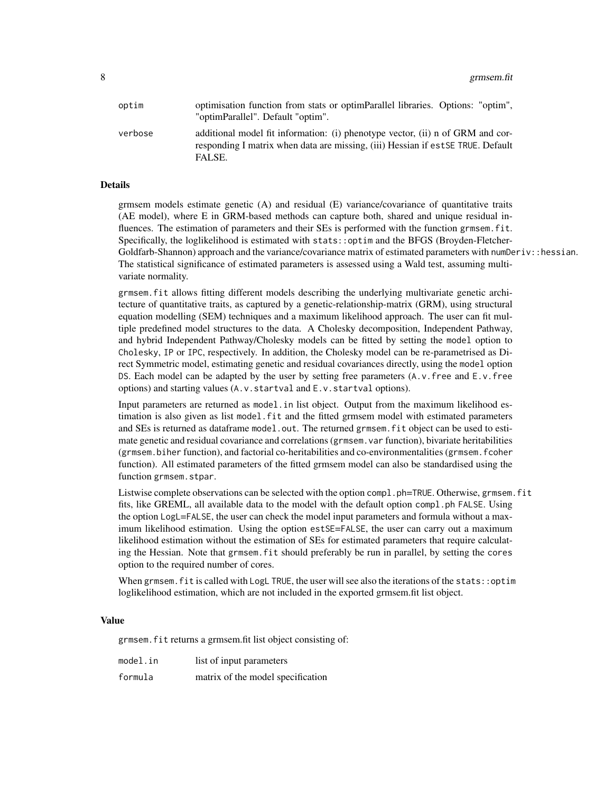| optim   | optimisation function from stats or optimParallel libraries. Options: "optim",<br>"optimParallel". Default "optim".                                                          |
|---------|------------------------------------------------------------------------------------------------------------------------------------------------------------------------------|
| verbose | additional model fit information: (i) phenotype vector, (ii) n of GRM and cor-<br>responding I matrix when data are missing, (iii) Hessian if est SE TRUE. Default<br>FALSE. |

### Details

grmsem models estimate genetic (A) and residual (E) variance/covariance of quantitative traits (AE model), where E in GRM-based methods can capture both, shared and unique residual influences. The estimation of parameters and their SEs is performed with the function grmsem. fit. Specifically, the loglikelihood is estimated with stats::optim and the BFGS (Broyden-Fletcher-Goldfarb-Shannon) approach and the variance/covariance matrix of estimated parameters with numDeriv::hessian. The statistical significance of estimated parameters is assessed using a Wald test, assuming multivariate normality.

grmsem.fit allows fitting different models describing the underlying multivariate genetic architecture of quantitative traits, as captured by a genetic-relationship-matrix (GRM), using structural equation modelling (SEM) techniques and a maximum likelihood approach. The user can fit multiple predefined model structures to the data. A Cholesky decomposition, Independent Pathway, and hybrid Independent Pathway/Cholesky models can be fitted by setting the model option to Cholesky, IP or IPC, respectively. In addition, the Cholesky model can be re-parametrised as Direct Symmetric model, estimating genetic and residual covariances directly, using the model option DS. Each model can be adapted by the user by setting free parameters (A.v.free and E.v.free options) and starting values (A.v.startval and E.v.startval options).

Input parameters are returned as model.in list object. Output from the maximum likelihood estimation is also given as list model. Fit and the fitted grmsem model with estimated parameters and SEs is returned as dataframe model.out. The returned grmsem.fit object can be used to estimate genetic and residual covariance and correlations (grmsem.var function), bivariate heritabilities (grmsem.biher function), and factorial co-heritabilities and co-environmentalities (grmsem.fcoher function). All estimated parameters of the fitted grmsem model can also be standardised using the function grmsem.stpar.

Listwise complete observations can be selected with the option compl. ph=TRUE. Otherwise, grmsem. fit fits, like GREML, all available data to the model with the default option compl.ph FALSE. Using the option LogL=FALSE, the user can check the model input parameters and formula without a maximum likelihood estimation. Using the option estSE=FALSE, the user can carry out a maximum likelihood estimation without the estimation of SEs for estimated parameters that require calculating the Hessian. Note that grmsem.fit should preferably be run in parallel, by setting the cores option to the required number of cores.

When grmsem. fit is called with LogL TRUE, the user will see also the iterations of the stats::optim loglikelihood estimation, which are not included in the exported grmsem.fit list object.

## Value

grmsem.fit returns a grmsem.fit list object consisting of:

| model.in | list of input parameters          |
|----------|-----------------------------------|
| formula  | matrix of the model specification |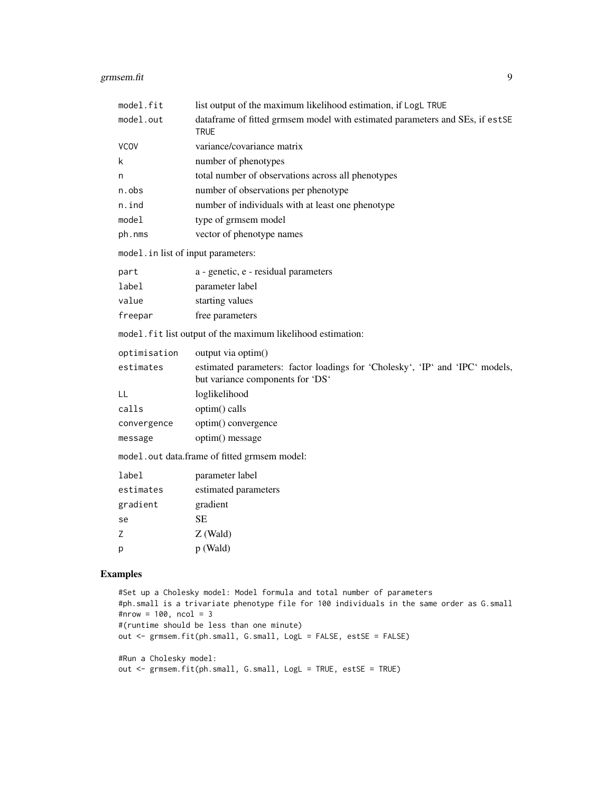| model.fit       | list output of the maximum likelihood estimation, if LogL TRUE                                                   |
|-----------------|------------------------------------------------------------------------------------------------------------------|
| model.out       | dataframe of fitted grmsem model with estimated parameters and SEs, if estSE<br><b>TRUE</b>                      |
| <b>VCOV</b>     | variance/covariance matrix                                                                                       |
| k               | number of phenotypes                                                                                             |
| n               | total number of observations across all phenotypes                                                               |
| n.obs           | number of observations per phenotype                                                                             |
| n.ind           | number of individuals with at least one phenotype                                                                |
| model           | type of grmsem model                                                                                             |
| ph.nms          | vector of phenotype names                                                                                        |
|                 | model.in list of input parameters:                                                                               |
| part            | a - genetic, e - residual parameters                                                                             |
| label           | parameter label                                                                                                  |
| value           | starting values                                                                                                  |
| freepar         | free parameters                                                                                                  |
|                 | model. fit list output of the maximum likelihood estimation:                                                     |
| optimisation    | output via optim()                                                                                               |
| estimates       | estimated parameters: factor loadings for 'Cholesky', 'IP' and 'IPC' models,<br>but variance components for 'DS' |
| LL              | loglikelihood                                                                                                    |
| calls           | optim() calls                                                                                                    |
| convergence     | optim() convergence                                                                                              |
| message         | optim() message                                                                                                  |
|                 | model.out data.frame of fitted grmsem model:                                                                     |
| label           | parameter label                                                                                                  |
| estimates       | estimated parameters                                                                                             |
| gradient        | gradient                                                                                                         |
| se              | <b>SE</b>                                                                                                        |
| Ζ               | $Z$ (Wald)                                                                                                       |
| р               | p (Wald)                                                                                                         |
| <b>Examples</b> |                                                                                                                  |

```
#Set up a Cholesky model: Model formula and total number of parameters
#ph.small is a trivariate phenotype file for 100 individuals in the same order as G.small
#nrow = 100, ncol = 3
#(runtime should be less than one minute)
out <- grmsem.fit(ph.small, G.small, LogL = FALSE, estSE = FALSE)
#Run a Cholesky model:
out <- grmsem.fit(ph.small, G.small, LogL = TRUE, estSE = TRUE)
```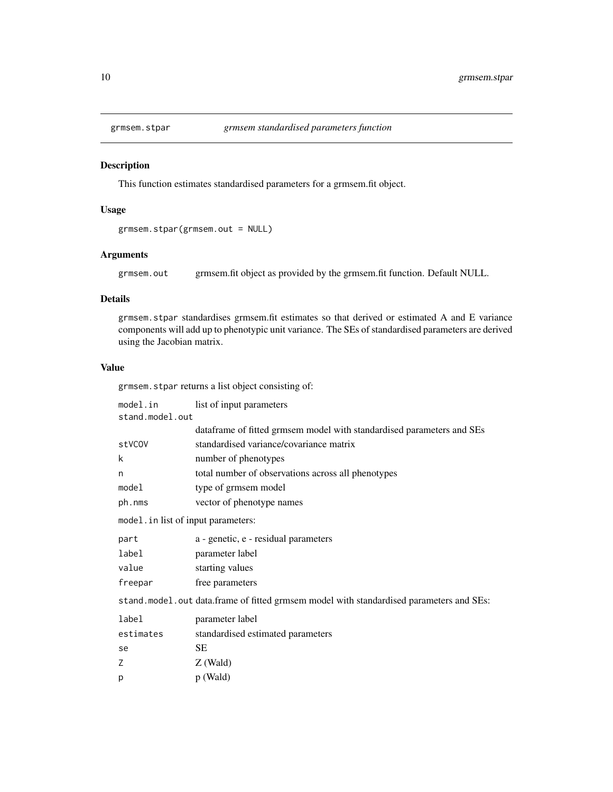<span id="page-9-0"></span>

## Description

This function estimates standardised parameters for a grmsem.fit object.

## Usage

```
grmsem.stpar(grmsem.out = NULL)
```
## Arguments

grmsem.out grmsem.fit object as provided by the grmsem.fit function. Default NULL.

### Details

grmsem.stpar standardises grmsem.fit estimates so that derived or estimated A and E variance components will add up to phenotypic unit variance. The SEs of standardised parameters are derived using the Jacobian matrix.

## Value

grmsem.stpar returns a list object consisting of:

| model.in                            | list of input parameters                                                                |  |
|-------------------------------------|-----------------------------------------------------------------------------------------|--|
| stand.model.out                     |                                                                                         |  |
|                                     | dataframe of fitted grmsem model with standardised parameters and SEs                   |  |
| stVCOV                              | standardised variance/covariance matrix                                                 |  |
| k                                   | number of phenotypes                                                                    |  |
| n                                   | total number of observations across all phenotypes                                      |  |
| model                               | type of grmsem model                                                                    |  |
| ph.nms                              | vector of phenotype names                                                               |  |
| model. in list of input parameters: |                                                                                         |  |
| part                                | a - genetic, e - residual parameters                                                    |  |
| label                               | parameter label                                                                         |  |
| value                               | starting values                                                                         |  |
| freepar                             | free parameters                                                                         |  |
|                                     | stand.model.out data.frame of fitted grmsem model with standardised parameters and SEs: |  |
| label                               | parameter label                                                                         |  |
| estimates                           | standardised estimated parameters                                                       |  |
| se                                  | SЕ                                                                                      |  |
| Z                                   | $Z$ (Wald)                                                                              |  |
| p                                   | $p$ (Wald)                                                                              |  |
|                                     |                                                                                         |  |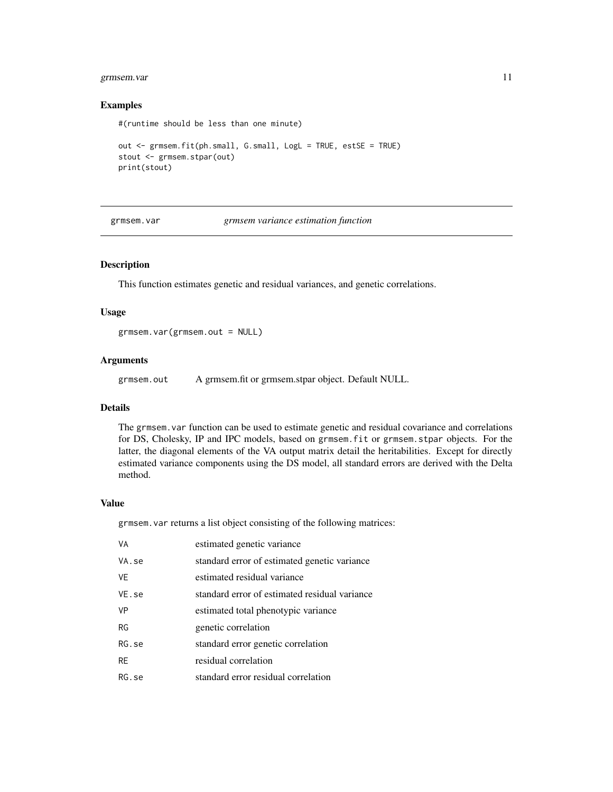## <span id="page-10-0"></span>grmsem.var 11

#### Examples

#(runtime should be less than one minute)

```
out <- grmsem.fit(ph.small, G.small, LogL = TRUE, estSE = TRUE)
stout <- grmsem.stpar(out)
print(stout)
```
grmsem.var *grmsem variance estimation function*

## Description

This function estimates genetic and residual variances, and genetic correlations.

## Usage

grmsem.var(grmsem.out = NULL)

#### Arguments

grmsem.out A grmsem.fit or grmsem.stpar object. Default NULL.

## Details

The grmsem.var function can be used to estimate genetic and residual covariance and correlations for DS, Cholesky, IP and IPC models, based on grmsem.fit or grmsem.stpar objects. For the latter, the diagonal elements of the VA output matrix detail the heritabilities. Except for directly estimated variance components using the DS model, all standard errors are derived with the Delta method.

#### Value

grmsem.var returns a list object consisting of the following matrices:

| VA        | estimated genetic variance                    |
|-----------|-----------------------------------------------|
| VA.se     | standard error of estimated genetic variance  |
| VE        | estimated residual variance                   |
| VE.se     | standard error of estimated residual variance |
| <b>VP</b> | estimated total phenotypic variance           |
| RG        | genetic correlation                           |
| RG.se     | standard error genetic correlation            |
| RE        | residual correlation                          |
| RG.se     | standard error residual correlation           |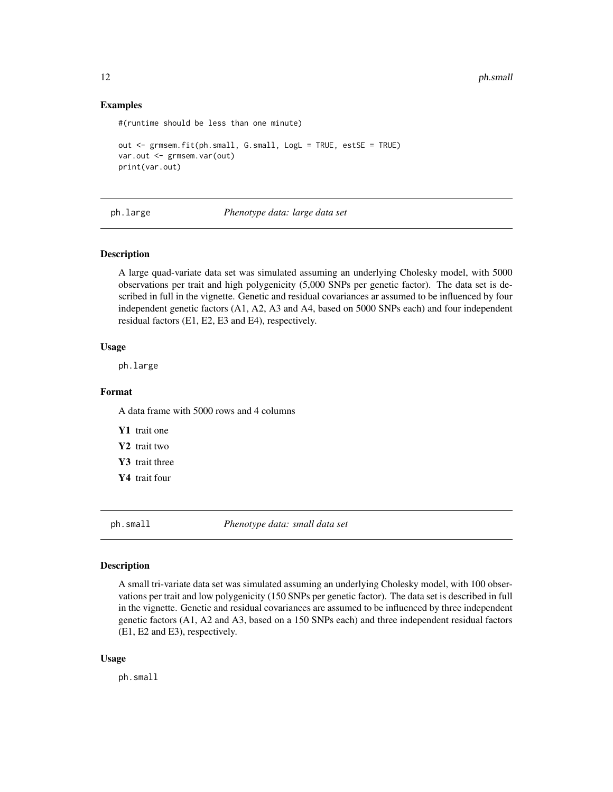## Examples

```
#(runtime should be less than one minute)
```

```
out <- grmsem.fit(ph.small, G.small, LogL = TRUE, estSE = TRUE)
var.out <- grmsem.var(out)
print(var.out)
```
ph.large *Phenotype data: large data set*

## Description

A large quad-variate data set was simulated assuming an underlying Cholesky model, with 5000 observations per trait and high polygenicity (5,000 SNPs per genetic factor). The data set is described in full in the vignette. Genetic and residual covariances ar assumed to be influenced by four independent genetic factors (A1, A2, A3 and A4, based on 5000 SNPs each) and four independent residual factors (E1, E2, E3 and E4), respectively.

## Usage

ph.large

## Format

A data frame with 5000 rows and 4 columns

Y1 trait one

Y2 trait two

Y3 trait three

Y4 trait four

ph.small *Phenotype data: small data set*

#### Description

A small tri-variate data set was simulated assuming an underlying Cholesky model, with 100 observations per trait and low polygenicity (150 SNPs per genetic factor). The data set is described in full in the vignette. Genetic and residual covariances are assumed to be influenced by three independent genetic factors (A1, A2 and A3, based on a 150 SNPs each) and three independent residual factors (E1, E2 and E3), respectively.

#### Usage

ph.small

<span id="page-11-0"></span>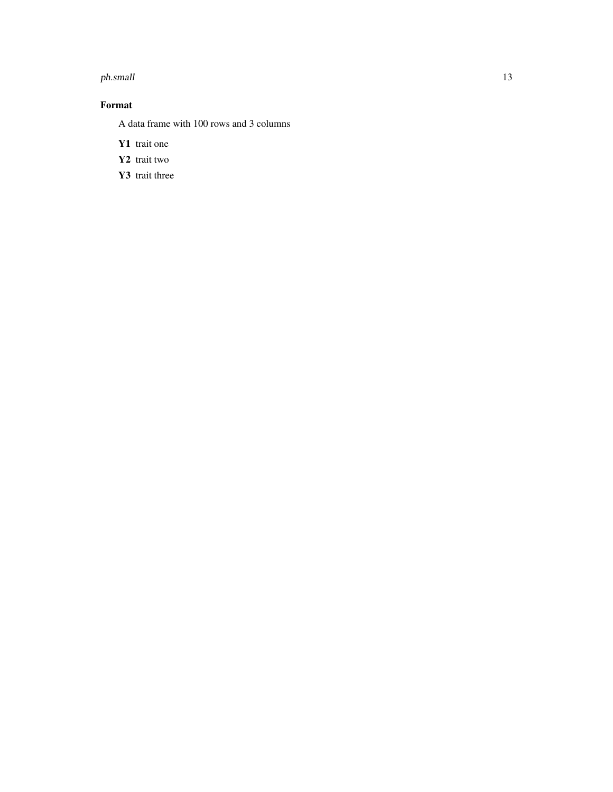#### ph.small 13

## Format

A data frame with 100 rows and 3 columns

- Y1 trait one
- Y2 trait two
- Y3 trait three